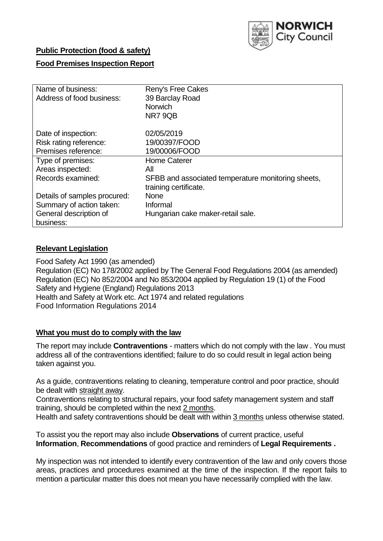

# **Public Protection (food & safety)**

# **Food Premises Inspection Report**

| Name of business:            | Reny's Free Cakes                                  |
|------------------------------|----------------------------------------------------|
| Address of food business:    | 39 Barclay Road                                    |
|                              | <b>Norwich</b>                                     |
|                              | NR79QB                                             |
| Date of inspection:          | 02/05/2019                                         |
| Risk rating reference:       | 19/00397/FOOD                                      |
| Premises reference:          | 19/00006/FOOD                                      |
| Type of premises:            | Home Caterer                                       |
| Areas inspected:             | All                                                |
| Records examined:            | SFBB and associated temperature monitoring sheets, |
|                              | training certificate.                              |
| Details of samples procured: | <b>None</b>                                        |
| Summary of action taken:     | Informal                                           |
| General description of       | Hungarian cake maker-retail sale.                  |
| business:                    |                                                    |

### **Relevant Legislation**

Food Safety Act 1990 (as amended) Regulation (EC) No 178/2002 applied by The General Food Regulations 2004 (as amended) Regulation (EC) No 852/2004 and No 853/2004 applied by Regulation 19 (1) of the Food Safety and Hygiene (England) Regulations 2013 Health and Safety at Work etc. Act 1974 and related regulations Food Information Regulations 2014

#### **What you must do to comply with the law**

The report may include **Contraventions** - matters which do not comply with the law . You must address all of the contraventions identified; failure to do so could result in legal action being taken against you.

As a guide, contraventions relating to cleaning, temperature control and poor practice, should be dealt with straight away.

Contraventions relating to structural repairs, your food safety management system and staff training, should be completed within the next 2 months.

Health and safety contraventions should be dealt with within 3 months unless otherwise stated.

To assist you the report may also include **Observations** of current practice, useful **Information**, **Recommendations** of good practice and reminders of **Legal Requirements .**

My inspection was not intended to identify every contravention of the law and only covers those areas, practices and procedures examined at the time of the inspection. If the report fails to mention a particular matter this does not mean you have necessarily complied with the law.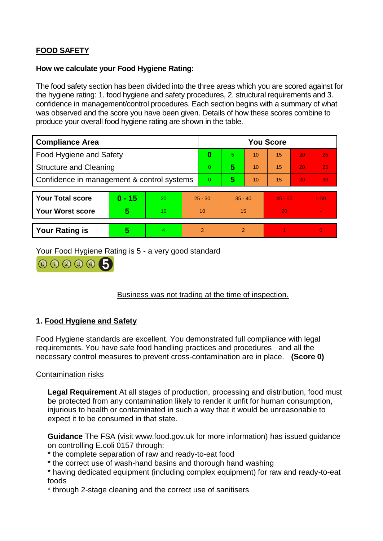# **FOOD SAFETY**

# **How we calculate your Food Hygiene Rating:**

The food safety section has been divided into the three areas which you are scored against for the hygiene rating: 1. food hygiene and safety procedures, 2. structural requirements and 3. confidence in management/control procedures. Each section begins with a summary of what was observed and the score you have been given. Details of how these scores combine to produce your overall food hygiene rating are shown in the table.

| <b>Compliance Area</b>                     |          |    |                | <b>You Score</b> |                |    |           |    |                |  |  |
|--------------------------------------------|----------|----|----------------|------------------|----------------|----|-----------|----|----------------|--|--|
| Food Hygiene and Safety                    |          |    | 0              | 5.               | 10             | 15 | 20        | 25 |                |  |  |
| <b>Structure and Cleaning</b>              |          |    | $\Omega$       | 5                | 10             | 15 | 20        | 25 |                |  |  |
| Confidence in management & control systems |          |    | $\overline{0}$ | 5                | 10             | 15 | 20        | 30 |                |  |  |
|                                            |          |    |                |                  |                |    |           |    |                |  |  |
| <b>Your Total score</b>                    | $0 - 15$ | 20 | $25 - 30$      |                  | $35 - 40$      |    | $45 - 50$ |    | > 50           |  |  |
| <b>Your Worst score</b>                    | 5        | 10 | 10             |                  | 15             |    | 20        |    | $\blacksquare$ |  |  |
|                                            |          |    |                |                  |                |    |           |    |                |  |  |
| <b>Your Rating is</b>                      | 5        | 4. | 3              |                  | $\overline{2}$ |    |           |    | $\overline{0}$ |  |  |

Your Food Hygiene Rating is 5 - a very good standard

000005

Business was not trading at the time of inspection.

# **1. Food Hygiene and Safety**

Food Hygiene standards are excellent. You demonstrated full compliance with legal requirements. You have safe food handling practices and procedures and all the necessary control measures to prevent cross-contamination are in place. **(Score 0)**

# Contamination risks

**Legal Requirement** At all stages of production, processing and distribution, food must be protected from any contamination likely to render it unfit for human consumption, injurious to health or contaminated in such a way that it would be unreasonable to expect it to be consumed in that state.

**Guidance** The FSA (visit www.food.gov.uk for more information) has issued guidance on controlling E.coli 0157 through:

- \* the complete separation of raw and ready-to-eat food
- \* the correct use of wash-hand basins and thorough hand washing
- \* having dedicated equipment (including complex equipment) for raw and ready-to-eat foods
- \* through 2-stage cleaning and the correct use of sanitisers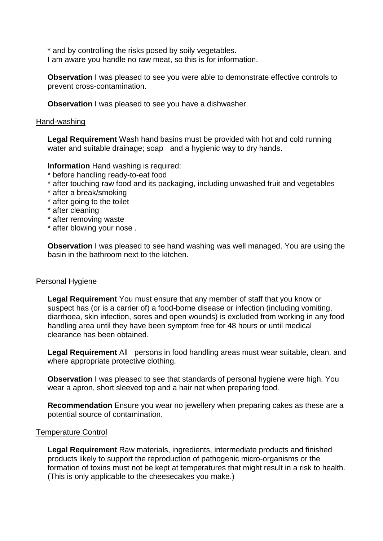\* and by controlling the risks posed by soily vegetables. I am aware you handle no raw meat, so this is for information.

**Observation** I was pleased to see you were able to demonstrate effective controls to prevent cross-contamination.

**Observation** I was pleased to see you have a dishwasher.

#### Hand-washing

**Legal Requirement** Wash hand basins must be provided with hot and cold running water and suitable drainage; soap and a hygienic way to dry hands.

**Information** Hand washing is required:

- \* before handling ready-to-eat food
- \* after touching raw food and its packaging, including unwashed fruit and vegetables
- \* after a break/smoking
- \* after going to the toilet
- \* after cleaning
- \* after removing waste
- \* after blowing your nose .

**Observation** I was pleased to see hand washing was well managed. You are using the basin in the bathroom next to the kitchen.

#### Personal Hygiene

**Legal Requirement** You must ensure that any member of staff that you know or suspect has (or is a carrier of) a food-borne disease or infection (including vomiting, diarrhoea, skin infection, sores and open wounds) is excluded from working in any food handling area until they have been symptom free for 48 hours or until medical clearance has been obtained.

**Legal Requirement** All persons in food handling areas must wear suitable, clean, and where appropriate protective clothing.

**Observation** I was pleased to see that standards of personal hygiene were high. You wear a apron, short sleeved top and a hair net when preparing food.

**Recommendation** Ensure you wear no jewellery when preparing cakes as these are a potential source of contamination.

#### Temperature Control

**Legal Requirement** Raw materials, ingredients, intermediate products and finished products likely to support the reproduction of pathogenic micro-organisms or the formation of toxins must not be kept at temperatures that might result in a risk to health. (This is only applicable to the cheesecakes you make.)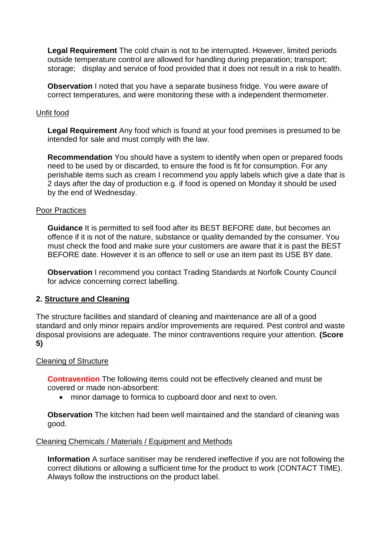**Legal Requirement** The cold chain is not to be interrupted. However, limited periods outside temperature control are allowed for handling during preparation; transport; storage; display and service of food provided that it does not result in a risk to health.

**Observation** I noted that you have a separate business fridge. You were aware of correct temperatures, and were monitoring these with a independent thermometer.

### Unfit food

**Legal Requirement** Any food which is found at your food premises is presumed to be intended for sale and must comply with the law.

**Recommendation** You should have a system to identify when open or prepared foods need to be used by or discarded, to ensure the food is fit for consumption. For any perishable items such as cream I recommend you apply labels which give a date that is 2 days after the day of production e.g. if food is opened on Monday it should be used by the end of Wednesday.

### Poor Practices

**Guidance** It is permitted to sell food after its BEST BEFORE date, but becomes an offence if it is not of the nature, substance or quality demanded by the consumer. You must check the food and make sure your customers are aware that it is past the BEST BEFORE date. However it is an offence to sell or use an item past its USE BY date.

**Observation** I recommend you contact Trading Standards at Norfolk County Council for advice concerning correct labelling.

# **2. Structure and Cleaning**

The structure facilities and standard of cleaning and maintenance are all of a good standard and only minor repairs and/or improvements are required. Pest control and waste disposal provisions are adequate. The minor contraventions require your attention. **(Score 5)**

#### Cleaning of Structure

**Contravention** The following items could not be effectively cleaned and must be covered or made non-absorbent:

minor damage to formica to cupboard door and next to oven.

**Observation** The kitchen had been well maintained and the standard of cleaning was good.

#### Cleaning Chemicals / Materials / Equipment and Methods

**Information** A surface sanitiser may be rendered ineffective if you are not following the correct dilutions or allowing a sufficient time for the product to work (CONTACT TIME). Always follow the instructions on the product label.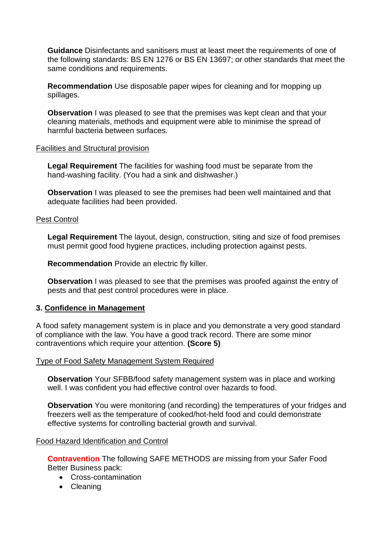**Guidance** Disinfectants and sanitisers must at least meet the requirements of one of the following standards: BS EN 1276 or BS EN 13697; or other standards that meet the same conditions and requirements.

**Recommendation** Use disposable paper wipes for cleaning and for mopping up spillages.

**Observation** I was pleased to see that the premises was kept clean and that your cleaning materials, methods and equipment were able to minimise the spread of harmful bacteria between surfaces.

### Facilities and Structural provision

**Legal Requirement** The facilities for washing food must be separate from the hand-washing facility. (You had a sink and dishwasher.)

**Observation** I was pleased to see the premises had been well maintained and that adequate facilities had been provided.

### Pest Control

**Legal Requirement** The layout, design, construction, siting and size of food premises must permit good food hygiene practices, including protection against pests.

**Recommendation** Provide an electric fly killer.

**Observation** I was pleased to see that the premises was proofed against the entry of pests and that pest control procedures were in place.

# **3. Confidence in Management**

A food safety management system is in place and you demonstrate a very good standard of compliance with the law. You have a good track record. There are some minor contraventions which require your attention. **(Score 5)**

#### Type of Food Safety Management System Required

**Observation** Your SFBB/food safety management system was in place and working well. I was confident you had effective control over hazards to food.

**Observation** You were monitoring (and recording) the temperatures of your fridges and freezers well as the temperature of cooked/hot-held food and could demonstrate effective systems for controlling bacterial growth and survival.

#### Food Hazard Identification and Control

**Contravention** The following SAFE METHODS are missing from your Safer Food Better Business pack:

- Cross-contamination
- Cleaning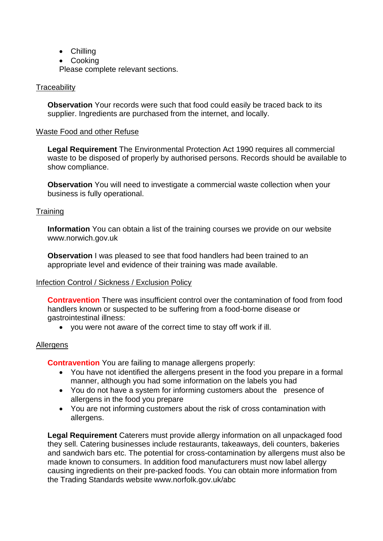- Chilling
- Cooking

Please complete relevant sections.

# **Traceability**

**Observation** Your records were such that food could easily be traced back to its supplier. Ingredients are purchased from the internet, and locally.

### Waste Food and other Refuse

**Legal Requirement** The Environmental Protection Act 1990 requires all commercial waste to be disposed of properly by authorised persons. Records should be available to show compliance.

**Observation** You will need to investigate a commercial waste collection when your business is fully operational.

### **Training**

**Information** You can obtain a list of the training courses we provide on our website www.norwich.gov.uk

**Observation** I was pleased to see that food handlers had been trained to an appropriate level and evidence of their training was made available.

#### Infection Control / Sickness / Exclusion Policy

**Contravention** There was insufficient control over the contamination of food from food handlers known or suspected to be suffering from a food-borne disease or gastrointestinal illness:

you were not aware of the correct time to stay off work if ill.

# Allergens

**Contravention** You are failing to manage allergens properly:

- You have not identified the allergens present in the food you prepare in a formal manner, although you had some information on the labels you had
- You do not have a system for informing customers about the presence of allergens in the food you prepare
- You are not informing customers about the risk of cross contamination with allergens.

**Legal Requirement** Caterers must provide allergy information on all unpackaged food they sell. Catering businesses include restaurants, takeaways, deli counters, bakeries and sandwich bars etc. The potential for cross-contamination by allergens must also be made known to consumers. In addition food manufacturers must now label allergy causing ingredients on their pre-packed foods. You can obtain more information from the Trading Standards website www.norfolk.gov.uk/abc